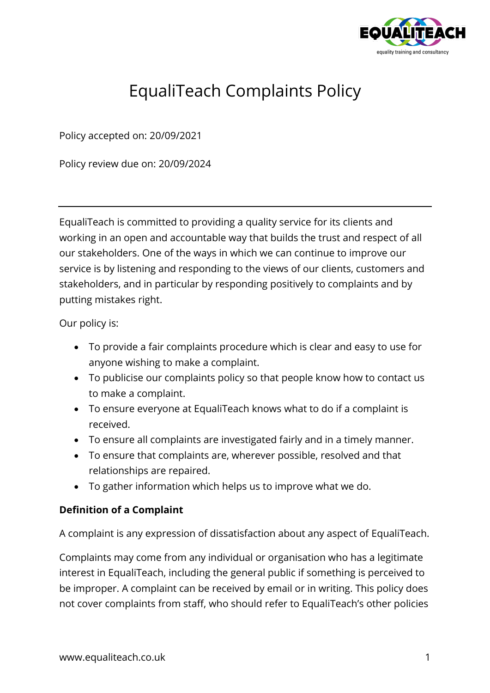

# EqualiTeach Complaints Policy

Policy accepted on: 20/09/2021

Policy review due on: 20/09/2024

EqualiTeach is committed to providing a quality service for its clients and working in an open and accountable way that builds the trust and respect of all our stakeholders. One of the ways in which we can continue to improve our service is by listening and responding to the views of our clients, customers and stakeholders, and in particular by responding positively to complaints and by putting mistakes right.

Our policy is:

- To provide a fair complaints procedure which is clear and easy to use for anyone wishing to make a complaint.
- To publicise our complaints policy so that people know how to contact us to make a complaint.
- To ensure everyone at EqualiTeach knows what to do if a complaint is received.
- To ensure all complaints are investigated fairly and in a timely manner.
- To ensure that complaints are, wherever possible, resolved and that relationships are repaired.
- To gather information which helps us to improve what we do.

#### **Definition of a Complaint**

A complaint is any expression of dissatisfaction about any aspect of EqualiTeach.

Complaints may come from any individual or organisation who has a legitimate interest in EqualiTeach, including the general public if something is perceived to be improper. A complaint can be received by email or in writing. This policy does not cover complaints from staff, who should refer to EqualiTeach's other policies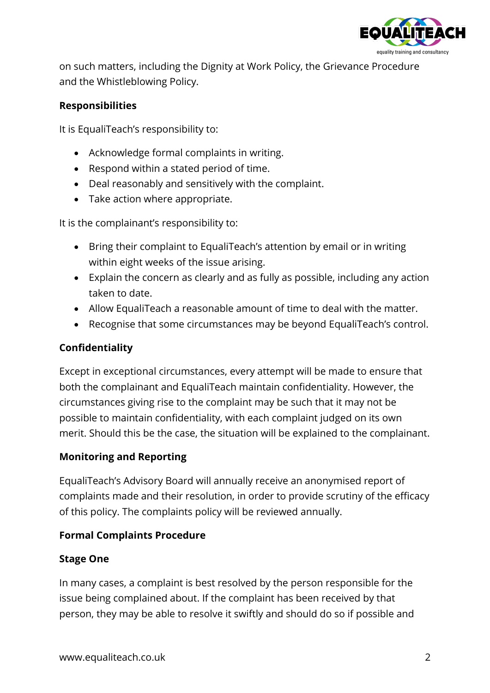

on such matters, including the Dignity at Work Policy, the Grievance Procedure and the Whistleblowing Policy.

#### **Responsibilities**

It is EqualiTeach's responsibility to:

- Acknowledge formal complaints in writing.
- Respond within a stated period of time.
- Deal reasonably and sensitively with the complaint.
- Take action where appropriate.

It is the complainant's responsibility to:

- Bring their complaint to EqualiTeach's attention by email or in writing within eight weeks of the issue arising.
- Explain the concern as clearly and as fully as possible, including any action taken to date.
- Allow EqualiTeach a reasonable amount of time to deal with the matter.
- Recognise that some circumstances may be beyond EqualiTeach's control.

### **Confidentiality**

Except in exceptional circumstances, every attempt will be made to ensure that both the complainant and EqualiTeach maintain confidentiality. However, the circumstances giving rise to the complaint may be such that it may not be possible to maintain confidentiality, with each complaint judged on its own merit. Should this be the case, the situation will be explained to the complainant.

#### **Monitoring and Reporting**

EqualiTeach's Advisory Board will annually receive an anonymised report of complaints made and their resolution, in order to provide scrutiny of the efficacy of this policy. The complaints policy will be reviewed annually.

#### **Formal Complaints Procedure**

#### **Stage One**

In many cases, a complaint is best resolved by the person responsible for the issue being complained about. If the complaint has been received by that person, they may be able to resolve it swiftly and should do so if possible and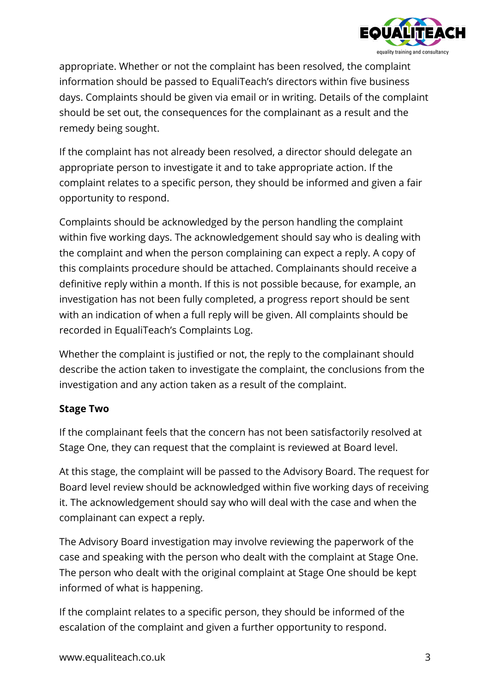

appropriate. Whether or not the complaint has been resolved, the complaint information should be passed to EqualiTeach's directors within five business days. Complaints should be given via email or in writing. Details of the complaint should be set out, the consequences for the complainant as a result and the remedy being sought.

If the complaint has not already been resolved, a director should delegate an appropriate person to investigate it and to take appropriate action. If the complaint relates to a specific person, they should be informed and given a fair opportunity to respond.

Complaints should be acknowledged by the person handling the complaint within five working days. The acknowledgement should say who is dealing with the complaint and when the person complaining can expect a reply. A copy of this complaints procedure should be attached. Complainants should receive a definitive reply within a month. If this is not possible because, for example, an investigation has not been fully completed, a progress report should be sent with an indication of when a full reply will be given. All complaints should be recorded in EqualiTeach's Complaints Log.

Whether the complaint is justified or not, the reply to the complainant should describe the action taken to investigate the complaint, the conclusions from the investigation and any action taken as a result of the complaint.

#### **Stage Two**

If the complainant feels that the concern has not been satisfactorily resolved at Stage One, they can request that the complaint is reviewed at Board level.

At this stage, the complaint will be passed to the Advisory Board. The request for Board level review should be acknowledged within five working days of receiving it. The acknowledgement should say who will deal with the case and when the complainant can expect a reply.

The Advisory Board investigation may involve reviewing the paperwork of the case and speaking with the person who dealt with the complaint at Stage One. The person who dealt with the original complaint at Stage One should be kept informed of what is happening.

If the complaint relates to a specific person, they should be informed of the escalation of the complaint and given a further opportunity to respond.